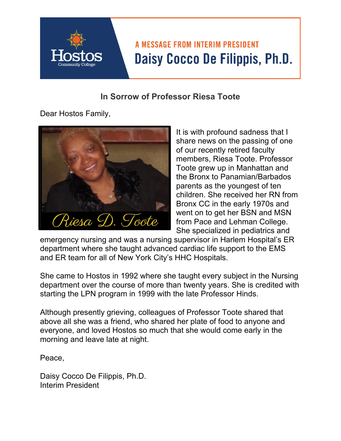

## **In Sorrow of Professor Riesa Toote**

Dear Hostos Family,



It is with profound sadness that I share news on the passing of one of our recently retired faculty members, Riesa Toote. Professor Toote grew up in Manhattan and the Bronx to Panamian/Barbados parents as the youngest of ten children. She received her RN from Bronx CC in the early 1970s and went on to get her BSN and MSN from Pace and Lehman College. She specialized in pediatrics and

emergency nursing and was a nursing supervisor in Harlem Hospital's ER department where she taught advanced cardiac life support to the EMS and ER team for all of New York City's HHC Hospitals.

She came to Hostos in 1992 where she taught every subject in the Nursing department over the course of more than twenty years. She is credited with starting the LPN program in 1999 with the late Professor Hinds.

Although presently grieving, colleagues of Professor Toote shared that above all she was a friend, who shared her plate of food to anyone and everyone, and loved Hostos so much that she would come early in the morning and leave late at night.

Peace,

Daisy Cocco De Filippis, Ph.D. Interim President